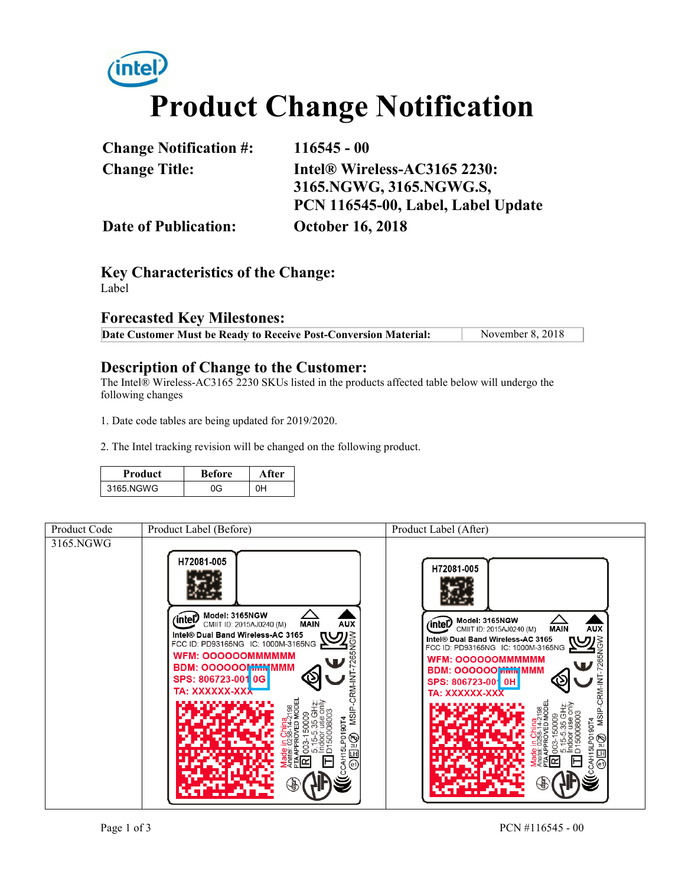# *(intel)* **Product Change Notification**

| <b>Change Notification #:</b> | $116545 - 00$                      |  |
|-------------------------------|------------------------------------|--|
| <b>Change Title:</b>          | Intel® Wireless-AC3165 2230:       |  |
|                               | 3165.NGWG, 3165.NGWG.S,            |  |
|                               | PCN 116545-00, Label, Label Update |  |
| <b>Date of Publication:</b>   | <b>October 16, 2018</b>            |  |

**Key Characteristics of the Change:** Label

#### **Forecasted Key Milestones:**

| Date Customer Must be Ready to Receive Post-Conversion Material: | November 8, 2018 |
|------------------------------------------------------------------|------------------|
|------------------------------------------------------------------|------------------|

#### **Description of Change to the Customer:**

The Intel® Wireless-AC3165 2230 SKUs listed in the products affected table below will undergo the following changes

1. Date code tables are being updated for 2019/2020.

2. The Intel tracking revision will be changed on the following product.

| <b>Product</b> | <b>Before</b> | After |
|----------------|---------------|-------|
| 3165.NGWG      | ባG            | 0H    |

| Product Code | Product Label (Before)                                                                                                                                                                                                                                     | Product Label (After)                                                                                                                                                                                                                                       |
|--------------|------------------------------------------------------------------------------------------------------------------------------------------------------------------------------------------------------------------------------------------------------------|-------------------------------------------------------------------------------------------------------------------------------------------------------------------------------------------------------------------------------------------------------------|
| 3165.NGWG    | H72081-005<br>Model: 3165NGW<br>inte<br><b>AUX</b><br>CMIIT ID: 2015AJ0240 (M)<br><b>MAIN</b><br>Intel® Dual Band Wireless-AC 3165<br>FCC ID: PD93165NG IC: 1000M-3165NG<br><b>WFM: OOOOOOMMMMMM</b><br><b>BDM: 00000001 MMMMMMM</b><br>SPS: 806723-001 0G | H72081-005<br>Model: 3165NGW<br>'intel<br>CMIIT ID: 2015AJ0240 (M)<br><b>AUX</b><br><b>MAIN</b><br>Intel® Dual Band Wireless-AC 3165<br>FCC ID: PD93165NG IC: 1000M-3165NG<br><b>WFM: OOOOOOMMMMMM</b><br><b>BDM: 000000 MMMMMMMM</b><br>SPS: 806723-001 0H |
|              | RM-INT<br><b>TA: XXXXXX-XXX</b><br>MSIP-<br>⊛<br>⊛                                                                                                                                                                                                         | CRM-IN<br>TA: XXXXXX-XXX<br>MSIP-<br>90 <sub>14</sub><br>☜<br>2LI<br>LH  <br>$\circledcirc$<br>$\circ$                                                                                                                                                      |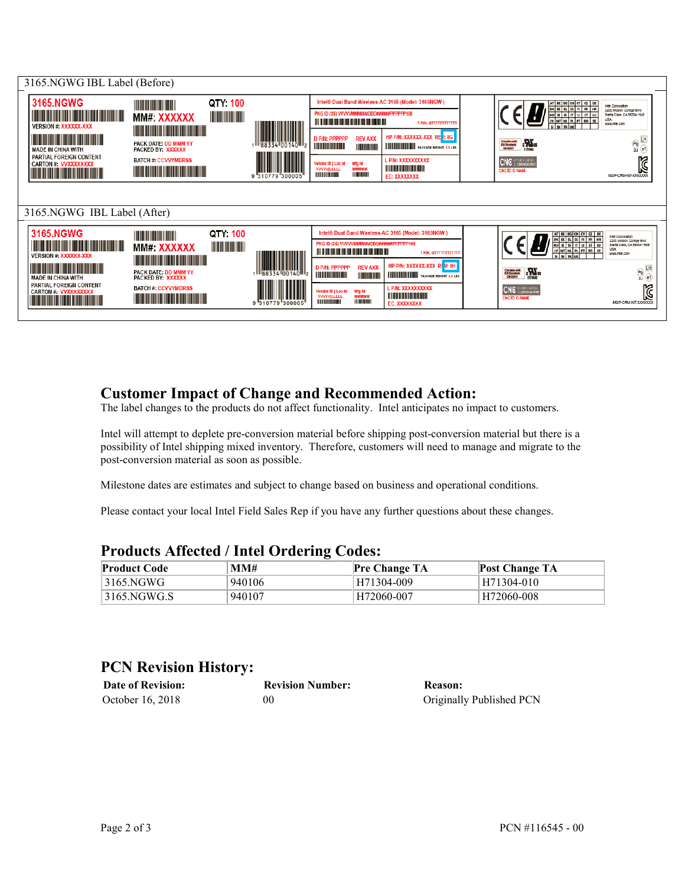

#### **Customer Impact of Change and Recommended Action:**

The label changes to the products do not affect functionality. Intel anticipates no impact to customers.

Intel will attempt to deplete pre-conversion material before shipping post-conversion material but there is a possibility of Intel shipping mixed inventory. Therefore, customers will need to manage and migrate to the post-conversion material as soon as possible.

Milestone dates are estimates and subject to change based on business and operational conditions.

Please contact your local Intel Field Sales Rep if you have any further questions about these changes.

| Trouders Ameeted / Then Ordering Coucs. |        |                      |                       |  |
|-----------------------------------------|--------|----------------------|-----------------------|--|
| <b>Product Code</b>                     | MM#    | <b>Pre Change TA</b> | <b>Post Change TA</b> |  |
| 3165.NGWG                               | 940106 | H71304-009           | H71304-010            |  |
| 3165.NGWG.S                             | 940107 | H72060-007           | H72060-008            |  |

#### **Products Affected / Intel Ordering Codes:**

### **PCN Revision History:**

| <b>Date of Revision:</b> | <b>Revision Number:</b> | Reason:                  |
|--------------------------|-------------------------|--------------------------|
| October 16, 2018         | 00                      | Originally Published PCN |